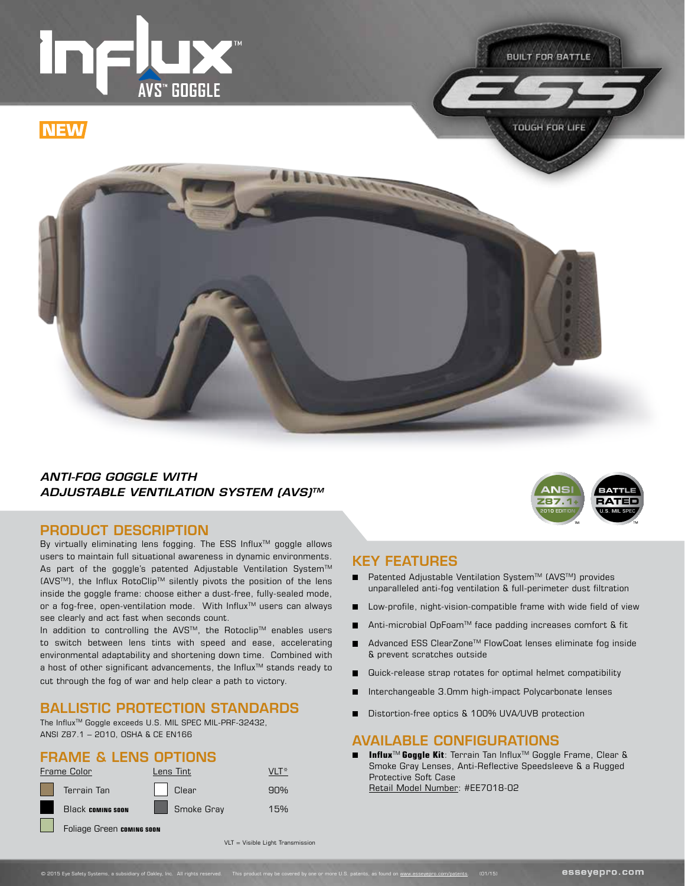

**TOUGH FOR LIFE** 



### *ANTI-FOG GOGGLE WITH ADJUSTABLE VENTILATION SYSTEM (AVS)TM*

#### PRODUCT DESCRIPTION

By virtually eliminating lens fogging. The ESS Influx™ goggle allows users to maintain full situational awareness in dynamic environments. As part of the goggle's patented Adjustable Ventilation System™ (AVSTM), the Influx RotoClipTM silently pivots the position of the lens inside the goggle frame: choose either a dust-free, fully-sealed mode, or a fog-free, open-ventilation mode. With Influx™ users can always see clearly and act fast when seconds count.

In addition to controlling the AVS™, the Rotoclip™ enables users to switch between lens tints with speed and ease, accelerating environmental adaptability and shortening down time. Combined with a host of other significant advancements, the Influx<sup>™</sup> stands ready to cut through the fog of war and help clear a path to victory.

### BALLISTIC PROTECTION STANDARDS

The Influx<sup>™</sup> Goggle exceeds U.S. MIL SPEC MIL-PRF-32432, ANSI Z87.1 – 2010, OSHA & CE EN166

#### FRAME & LENS OPTIONS





#### KEY FEATURES

- $\blacksquare$ Patented Adjustable Ventilation System™ (AVS™) provides unparalleled anti-fog ventilation & full-perimeter dust filtration
- Low-profile, night-vision-compatible frame with wide field of view  $\blacksquare$
- Anti-microbial OpFoam™ face padding increases comfort & fit
- Advanced ESS ClearZone™ FlowCoat lenses eliminate fog inside Е & prevent scratches outside
- Quick-release strap rotates for optimal helmet compatibility
- Interchangeable 3.0mm high-impact Polycarbonate lenses г
- Distortion-free optics & 100% UVA/UVB protection п

#### AVAILABLE CONFIGURATIONS

**Influx<sup>™</sup> Goggle Kit: Terrain Tan Influx<sup>™</sup> Goggle Frame, Clear &**  $\blacksquare$ Smoke Gray Lenses, Anti-Reflective Speedsleeve & a Rugged Protective Soft Case Retail Model Number: #EE7018-02

 $VIT = Visible$  Light Transmission